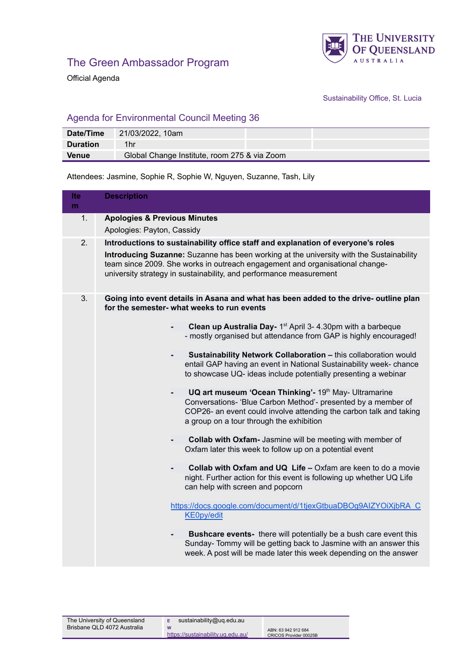

Official Agenda

Sustainability Office, St. Lucia

## Agenda for Environmental Council Meeting 36

| Date/Time       | 21/03/2022, 10am                             |  |
|-----------------|----------------------------------------------|--|
| <b>Duration</b> | 1hr                                          |  |
| <b>Venue</b>    | Global Change Institute, room 275 & via Zoom |  |

Attendees: Jasmine, Sophie R, Sophie W, Nguyen, Suzanne, Tash, Lily

| Ite<br>m | <b>Description</b>                                                                                                                                                                                                                                                                                                                |
|----------|-----------------------------------------------------------------------------------------------------------------------------------------------------------------------------------------------------------------------------------------------------------------------------------------------------------------------------------|
| 1.       | <b>Apologies &amp; Previous Minutes</b><br>Apologies: Payton, Cassidy                                                                                                                                                                                                                                                             |
| 2.       | Introductions to sustainability office staff and explanation of everyone's roles<br>Introducing Suzanne: Suzanne has been working at the university with the Sustainability<br>team since 2009. She works in outreach engagement and organisational change-<br>university strategy in sustainability, and performance measurement |
| 3.       | Going into event details in Asana and what has been added to the drive- outline plan<br>for the semester- what weeks to run events                                                                                                                                                                                                |
|          | Clean up Australia Day- 1 <sup>st</sup> April 3- 4.30pm with a barbeque<br>$\overline{\phantom{0}}$<br>- mostly organised but attendance from GAP is highly encouraged!                                                                                                                                                           |
|          | Sustainability Network Collaboration - this collaboration would<br>entail GAP having an event in National Sustainability week- chance<br>to showcase UQ- ideas include potentially presenting a webinar                                                                                                                           |
|          | UQ art museum 'Ocean Thinking'- 19th May- Ultramarine<br>Conversations- 'Blue Carbon Method'- presented by a member of<br>COP26- an event could involve attending the carbon talk and taking<br>a group on a tour through the exhibition                                                                                          |
|          | Collab with Oxfam- Jasmine will be meeting with member of<br>Oxfam later this week to follow up on a potential event                                                                                                                                                                                                              |
|          | Collab with Oxfam and UQ Life - Oxfam are keen to do a movie<br>night. Further action for this event is following up whether UQ Life<br>can help with screen and popcorn                                                                                                                                                          |
|          | https://docs.google.com/document/d/1tjexGtbuaDBOg9AIZYOiXjbRA_C<br><b>KE0py/edit</b>                                                                                                                                                                                                                                              |
|          | <b>Bushcare events-</b> there will potentially be a bush care event this<br>٠<br>Sunday- Tommy will be getting back to Jasmine with an answer this<br>week. A post will be made later this week depending on the answer                                                                                                           |

**W**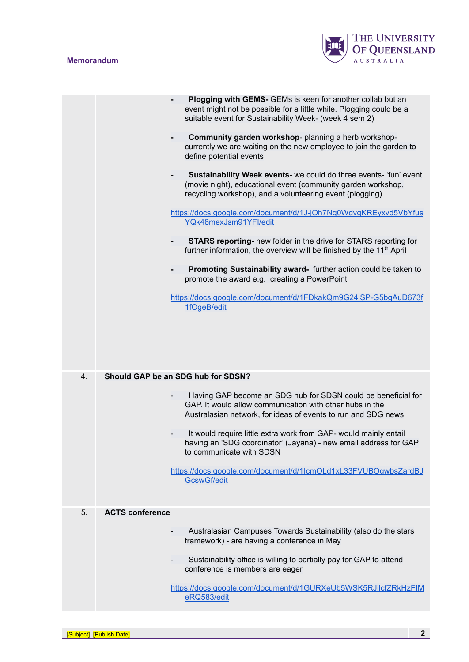## **Memorandum**



|    | <b>Plogging with GEMS-</b> GEMs is keen for another collab but an<br>event might not be possible for a little while. Plogging could be a<br>suitable event for Sustainability Week- (week 4 sem 2)<br>Community garden workshop- planning a herb workshop-<br>٠<br>currently we are waiting on the new employee to join the garden to<br>define potential events<br>Sustainability Week events- we could do three events- 'fun' event<br>٠<br>(movie night), educational event (community garden workshop,<br>recycling workshop), and a volunteering event (plogging)<br>https://docs.google.com/document/d/1J-jOh7Ng0WdvqKREyxvd5VbYfus<br>YQk48mexJsm91YFI/edit<br><b>STARS reporting-</b> new folder in the drive for STARS reporting for<br>$\overline{\phantom{0}}$<br>further information, the overview will be finished by the 11 <sup>th</sup> April<br>Promoting Sustainability award- further action could be taken to<br>$\overline{\phantom{0}}$<br>promote the award e.g. creating a PowerPoint<br>https://docs.google.com/document/d/1FDkakQm9G24iSP-G5bgAuD673f<br>1fOgeB/edit |
|----|------------------------------------------------------------------------------------------------------------------------------------------------------------------------------------------------------------------------------------------------------------------------------------------------------------------------------------------------------------------------------------------------------------------------------------------------------------------------------------------------------------------------------------------------------------------------------------------------------------------------------------------------------------------------------------------------------------------------------------------------------------------------------------------------------------------------------------------------------------------------------------------------------------------------------------------------------------------------------------------------------------------------------------------------------------------------------------------------|
| 4. | Should GAP be an SDG hub for SDSN?<br>Having GAP become an SDG hub for SDSN could be beneficial for<br>$\overline{\phantom{a}}$<br>GAP. It would allow communication with other hubs in the<br>Australasian network, for ideas of events to run and SDG news<br>It would require little extra work from GAP- would mainly entail<br>having an 'SDG coordinator' (Jayana) - new email address for GAP<br>to communicate with SDSN<br>https://docs.google.com/document/d/1lcmOLd1xL33FVUBOgwbsZardBJ<br><b>GcswGf/edit</b>                                                                                                                                                                                                                                                                                                                                                                                                                                                                                                                                                                       |
| 5. | <b>ACTS conference</b><br>Australasian Campuses Towards Sustainability (also do the stars<br>framework) - are having a conference in May<br>Sustainability office is willing to partially pay for GAP to attend<br>conference is members are eager<br>https://docs.google.com/document/d/1GURXeUb5WSK5RJilcfZRkHzFIM<br>eRQ583/edit                                                                                                                                                                                                                                                                                                                                                                                                                                                                                                                                                                                                                                                                                                                                                            |